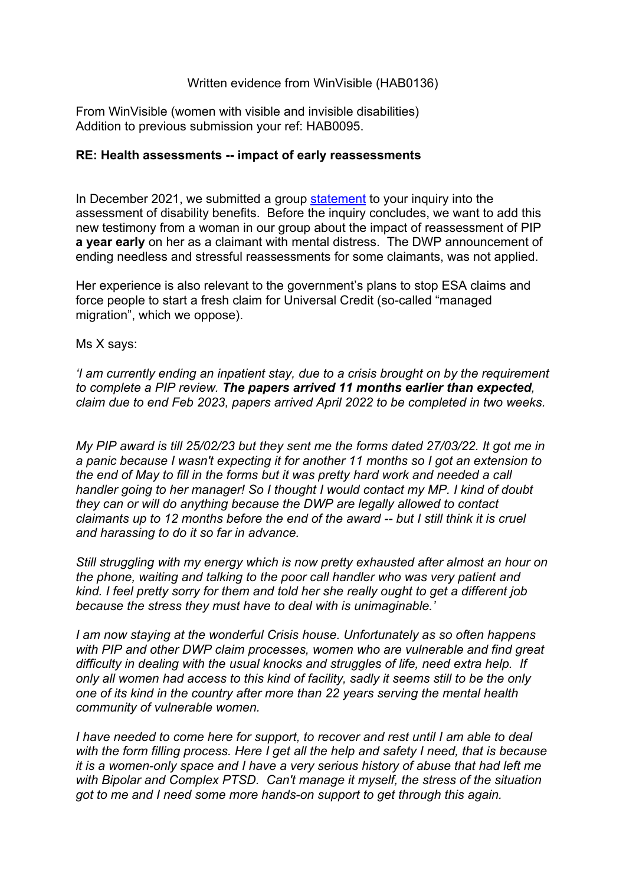## Written evidence from WinVisible (HAB0136)

From WinVisible (women with visible and invisible disabilities) Addition to previous submission your ref: HAB0095.

## **RE: Health assessments -- impact of early reassessments**

In December 2021, we submitted a group [statement](https://winvisibleblog.wordpress.com/2021/12/18/benefit-assessments-our-group-statement-to-mps/) to your inquiry into the assessment of disability benefits. Before the inquiry concludes, we want to add this new testimony from a woman in our group about the impact of reassessment of PIP **a year early** on her as a claimant with mental distress. The DWP announcement of ending needless and stressful reassessments for some claimants, was not applied.

Her experience is also relevant to the government's plans to stop ESA claims and force people to start a fresh claim for Universal Credit (so-called "managed migration", which we oppose).

Ms X says:

*'I am currently ending an inpatient stay, due to a crisis brought on by the requirement to complete a PIP review. The papers arrived 11 months earlier than expected, claim due to end Feb 2023, papers arrived April 2022 to be completed in two weeks.*

*My PIP award is till 25/02/23 but they sent me the forms dated 27/03/22. It got me in a panic because I wasn't expecting it for another 11 months so I got an extension to the end of May to fill in the forms but it was pretty hard work and needed a call handler going to her manager! So I thought I would contact my MP. I kind of doubt they can or will do anything because the DWP are legally allowed to contact claimants up to 12 months before the end of the award -- but I still think it is cruel and harassing to do it so far in advance.*

*Still struggling with my energy which is now pretty exhausted after almost an hour on the phone, waiting and talking to the poor call handler who was very patient and kind. I feel pretty sorry for them and told her she really ought to get a different job because the stress they must have to deal with is unimaginable.'*

*I am now staying at the wonderful Crisis house. Unfortunately as so often happens with PIP and other DWP claim processes, women who are vulnerable and find great difficulty in dealing with the usual knocks and struggles of life, need extra help. If only all women had access to this kind of facility, sadly it seems still to be the only one of its kind in the country after more than 22 years serving the mental health community of vulnerable women.*

*I have needed to come here for support, to recover and rest until I am able to deal with the form filling process. Here I get all the help and safety I need, that is because it is a women-only space and I have a very serious history of abuse that had left me with Bipolar and Complex PTSD. Can't manage it myself, the stress of the situation got to me and I need some more hands-on support to get through this again.*